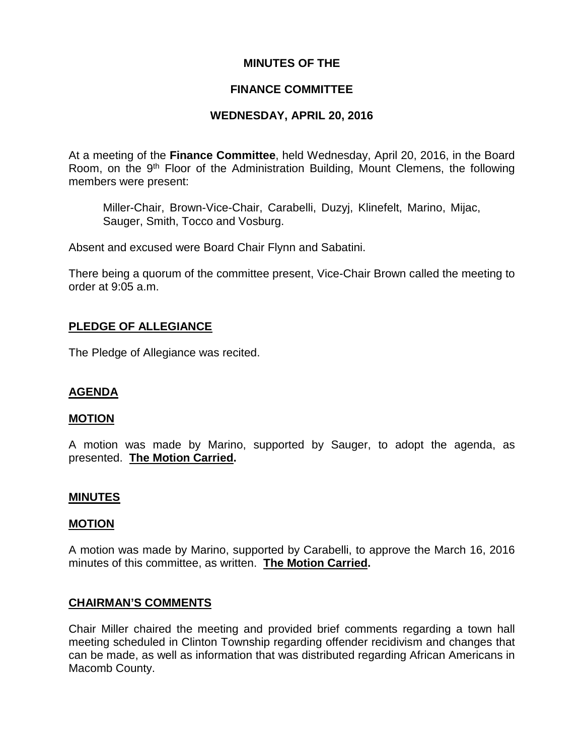### **MINUTES OF THE**

### **FINANCE COMMITTEE**

# **WEDNESDAY, APRIL 20, 2016**

At a meeting of the **Finance Committee**, held Wednesday, April 20, 2016, in the Board Room, on the 9th Floor of the Administration Building, Mount Clemens, the following members were present:

Miller-Chair, Brown-Vice-Chair, Carabelli, Duzyj, Klinefelt, Marino, Mijac, Sauger, Smith, Tocco and Vosburg.

Absent and excused were Board Chair Flynn and Sabatini.

There being a quorum of the committee present, Vice-Chair Brown called the meeting to order at 9:05 a.m.

### **PLEDGE OF ALLEGIANCE**

The Pledge of Allegiance was recited.

# **AGENDA**

### **MOTION**

A motion was made by Marino, supported by Sauger, to adopt the agenda, as presented. **The Motion Carried.**

### **MINUTES**

### **MOTION**

A motion was made by Marino, supported by Carabelli, to approve the March 16, 2016 minutes of this committee, as written. **The Motion Carried.**

### **CHAIRMAN'S COMMENTS**

Chair Miller chaired the meeting and provided brief comments regarding a town hall meeting scheduled in Clinton Township regarding offender recidivism and changes that can be made, as well as information that was distributed regarding African Americans in Macomb County.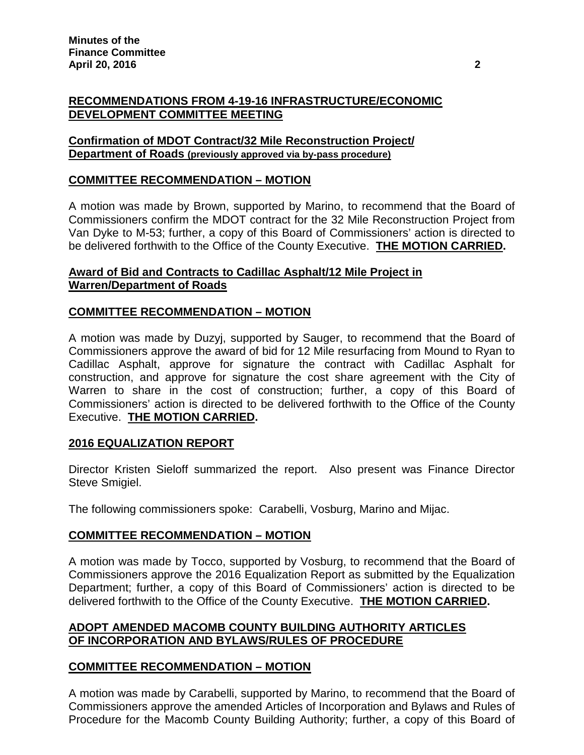# **RECOMMENDATIONS FROM 4-19-16 INFRASTRUCTURE/ECONOMIC DEVELOPMENT COMMITTEE MEETING**

# **Confirmation of MDOT Contract/32 Mile Reconstruction Project/ Department of Roads (previously approved via by-pass procedure)**

# **COMMITTEE RECOMMENDATION – MOTION**

A motion was made by Brown, supported by Marino, to recommend that the Board of Commissioners confirm the MDOT contract for the 32 Mile Reconstruction Project from Van Dyke to M-53; further, a copy of this Board of Commissioners' action is directed to be delivered forthwith to the Office of the County Executive. **THE MOTION CARRIED.**

# **Award of Bid and Contracts to Cadillac Asphalt/12 Mile Project in Warren/Department of Roads**

# **COMMITTEE RECOMMENDATION – MOTION**

A motion was made by Duzyj, supported by Sauger, to recommend that the Board of Commissioners approve the award of bid for 12 Mile resurfacing from Mound to Ryan to Cadillac Asphalt, approve for signature the contract with Cadillac Asphalt for construction, and approve for signature the cost share agreement with the City of Warren to share in the cost of construction; further, a copy of this Board of Commissioners' action is directed to be delivered forthwith to the Office of the County Executive. **THE MOTION CARRIED.**

# **2016 EQUALIZATION REPORT**

Director Kristen Sieloff summarized the report. Also present was Finance Director Steve Smigiel.

The following commissioners spoke: Carabelli, Vosburg, Marino and Mijac.

# **COMMITTEE RECOMMENDATION – MOTION**

A motion was made by Tocco, supported by Vosburg, to recommend that the Board of Commissioners approve the 2016 Equalization Report as submitted by the Equalization Department; further, a copy of this Board of Commissioners' action is directed to be delivered forthwith to the Office of the County Executive. **THE MOTION CARRIED.**

# **ADOPT AMENDED MACOMB COUNTY BUILDING AUTHORITY ARTICLES OF INCORPORATION AND BYLAWS/RULES OF PROCEDURE**

# **COMMITTEE RECOMMENDATION – MOTION**

A motion was made by Carabelli, supported by Marino, to recommend that the Board of Commissioners approve the amended Articles of Incorporation and Bylaws and Rules of Procedure for the Macomb County Building Authority; further, a copy of this Board of